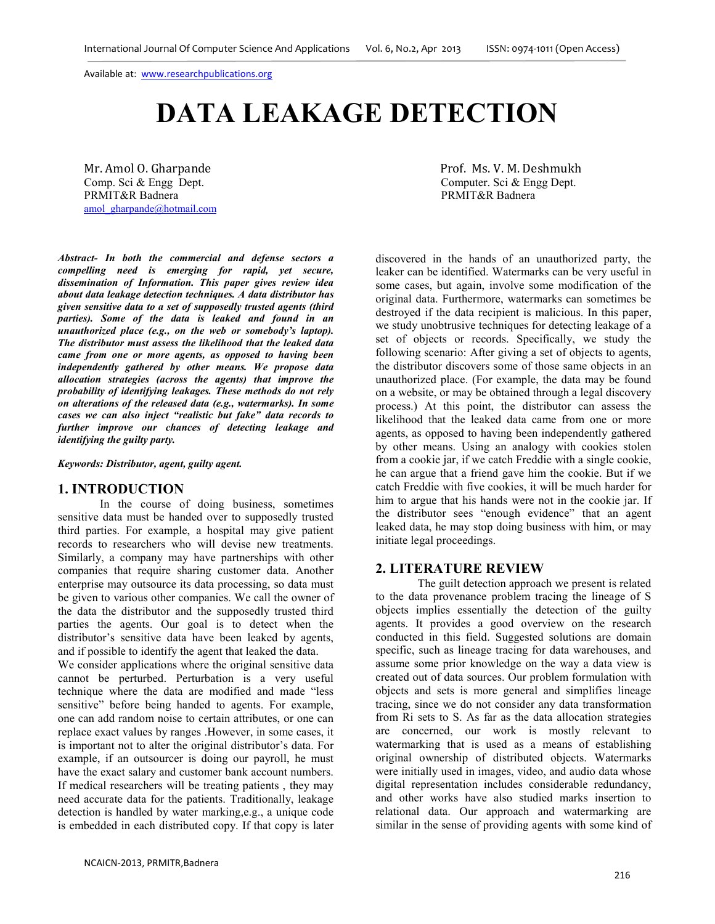# **DATA LEAKAGE DETECTION**

Mr. Amol O. Gharpande **Prof. Ms. V. M. Deshmukh** Comp. Sci & Engg Dept. Computer. Sci & Engg Dept. PRMIT&R Badnera **PRMIT&R Badnera** PRMIT&R Badnera amol\_gharpande@hotmail.com

*Abstract- In both the commercial and defense sectors a compelling need is emerging for rapid, yet secure, dissemination of Information. This paper gives review idea about data leakage detection techniques. A data distributor has given sensitive data to a set of supposedly trusted agents (third parties). Some of the data is leaked and found in an unauthorized place (e.g., on the web or somebody's laptop). The distributor must assess the likelihood that the leaked data came from one or more agents, as opposed to having been independently gathered by other means. We propose data allocation strategies (across the agents) that improve the probability of identifying leakages. These methods do not rely on alterations of the released data (e.g., watermarks). In some cases we can also inject "realistic but fake" data records to further improve our chances of detecting leakage and identifying the guilty party.* 

*Keywords: Distributor, agent, guilty agent.* 

#### **1. INTRODUCTION**

In the course of doing business, sometimes sensitive data must be handed over to supposedly trusted third parties. For example, a hospital may give patient records to researchers who will devise new treatments. Similarly, a company may have partnerships with other companies that require sharing customer data. Another enterprise may outsource its data processing, so data must be given to various other companies. We call the owner of the data the distributor and the supposedly trusted third parties the agents. Our goal is to detect when the distributor's sensitive data have been leaked by agents, and if possible to identify the agent that leaked the data.

We consider applications where the original sensitive data cannot be perturbed. Perturbation is a very useful technique where the data are modified and made "less sensitive" before being handed to agents. For example, one can add random noise to certain attributes, or one can replace exact values by ranges .However, in some cases, it is important not to alter the original distributor's data. For example, if an outsourcer is doing our payroll, he must have the exact salary and customer bank account numbers. If medical researchers will be treating patients , they may need accurate data for the patients. Traditionally, leakage detection is handled by water marking,e.g., a unique code is embedded in each distributed copy. If that copy is later discovered in the hands of an unauthorized party, the

leaker can be identified. Watermarks can be very useful in some cases, but again, involve some modification of the original data. Furthermore, watermarks can sometimes be destroyed if the data recipient is malicious. In this paper, we study unobtrusive techniques for detecting leakage of a set of objects or records. Specifically, we study the following scenario: After giving a set of objects to agents, the distributor discovers some of those same objects in an unauthorized place. (For example, the data may be found on a website, or may be obtained through a legal discovery process.) At this point, the distributor can assess the likelihood that the leaked data came from one or more agents, as opposed to having been independently gathered by other means. Using an analogy with cookies stolen from a cookie jar, if we catch Freddie with a single cookie, he can argue that a friend gave him the cookie. But if we catch Freddie with five cookies, it will be much harder for him to argue that his hands were not in the cookie jar. If the distributor sees "enough evidence" that an agent leaked data, he may stop doing business with him, or may initiate legal proceedings.

## **2. LITERATURE REVIEW**

The guilt detection approach we present is related to the data provenance problem tracing the lineage of S objects implies essentially the detection of the guilty agents. It provides a good overview on the research conducted in this field. Suggested solutions are domain specific, such as lineage tracing for data warehouses, and assume some prior knowledge on the way a data view is created out of data sources. Our problem formulation with objects and sets is more general and simplifies lineage tracing, since we do not consider any data transformation from Ri sets to S. As far as the data allocation strategies are concerned, our work is mostly relevant to watermarking that is used as a means of establishing original ownership of distributed objects. Watermarks were initially used in images, video, and audio data whose digital representation includes considerable redundancy, and other works have also studied marks insertion to relational data. Our approach and watermarking are similar in the sense of providing agents with some kind of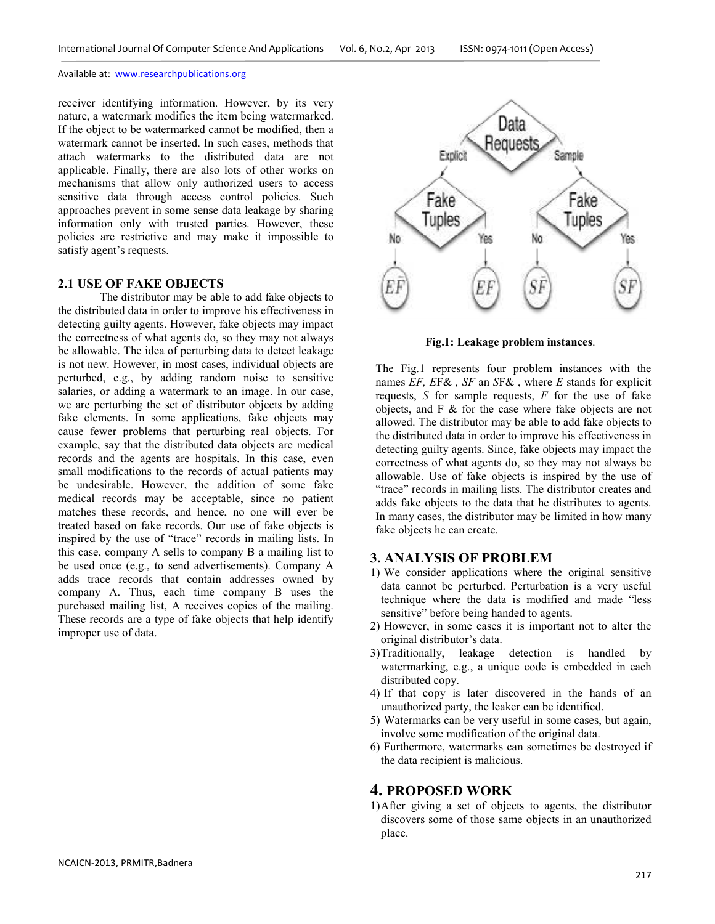receiver identifying information. However, by its very nature, a watermark modifies the item being watermarked. If the object to be watermarked cannot be modified, then a watermark cannot be inserted. In such cases, methods that attach watermarks to the distributed data are not applicable. Finally, there are also lots of other works on mechanisms that allow only authorized users to access sensitive data through access control policies. Such approaches prevent in some sense data leakage by sharing information only with trusted parties. However, these policies are restrictive and may make it impossible to satisfy agent's requests.

#### **2.1 USE OF FAKE OBJECTS**

The distributor may be able to add fake objects to the distributed data in order to improve his effectiveness in detecting guilty agents. However, fake objects may impact the correctness of what agents do, so they may not always be allowable. The idea of perturbing data to detect leakage is not new. However, in most cases, individual objects are perturbed, e.g., by adding random noise to sensitive salaries, or adding a watermark to an image. In our case, we are perturbing the set of distributor objects by adding fake elements. In some applications, fake objects may cause fewer problems that perturbing real objects. For example, say that the distributed data objects are medical records and the agents are hospitals. In this case, even small modifications to the records of actual patients may be undesirable. However, the addition of some fake medical records may be acceptable, since no patient matches these records, and hence, no one will ever be treated based on fake records. Our use of fake objects is inspired by the use of "trace" records in mailing lists. In this case, company A sells to company B a mailing list to be used once (e.g., to send advertisements). Company A adds trace records that contain addresses owned by company A. Thus, each time company B uses the purchased mailing list, A receives copies of the mailing. These records are a type of fake objects that help identify improper use of data.



**Fig.1: Leakage problem instances**.

The Fig.1 represents four problem instances with the names *EF, E*F& *, SF* an *S*F& , where *E* stands for explicit requests, *S* for sample requests, *F* for the use of fake objects, and F & for the case where fake objects are not allowed. The distributor may be able to add fake objects to the distributed data in order to improve his effectiveness in detecting guilty agents. Since, fake objects may impact the correctness of what agents do, so they may not always be allowable. Use of fake objects is inspired by the use of "trace" records in mailing lists. The distributor creates and adds fake objects to the data that he distributes to agents. In many cases, the distributor may be limited in how many fake objects he can create.

# **3. ANALYSIS OF PROBLEM**

- 1) We consider applications where the original sensitive data cannot be perturbed. Perturbation is a very useful technique where the data is modified and made "less sensitive" before being handed to agents.
- 2) However, in some cases it is important not to alter the original distributor's data.
- 3)Traditionally, leakage detection is handled by watermarking, e.g., a unique code is embedded in each distributed copy.
- 4) If that copy is later discovered in the hands of an unauthorized party, the leaker can be identified.
- 5) Watermarks can be very useful in some cases, but again, involve some modification of the original data.
- 6) Furthermore, watermarks can sometimes be destroyed if the data recipient is malicious.

# **4. PROPOSED WORK**

1)After giving a set of objects to agents, the distributor discovers some of those same objects in an unauthorized place.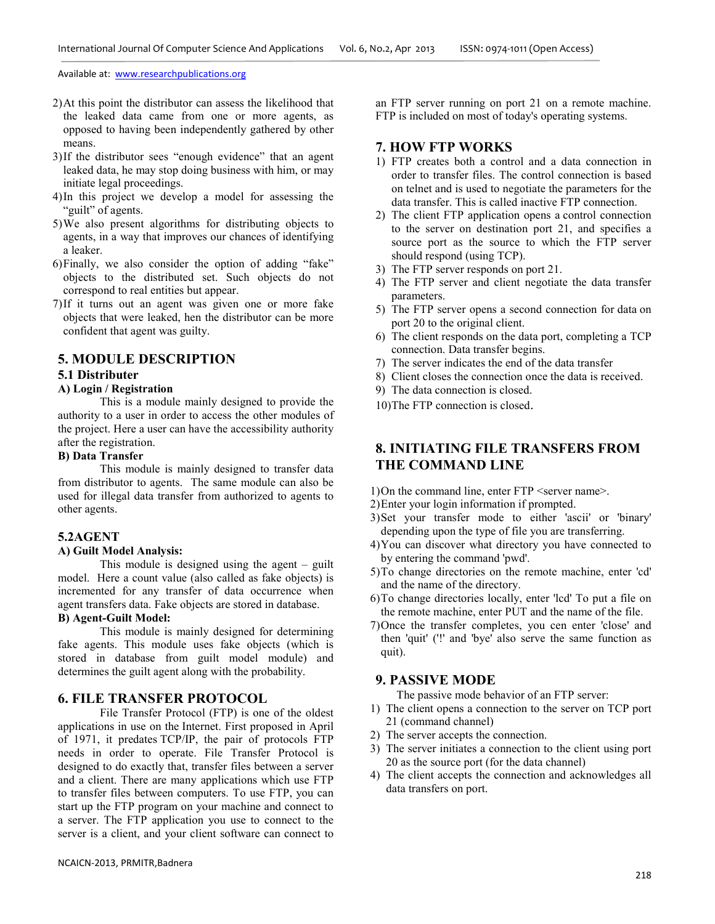- 2)At this point the distributor can assess the likelihood that the leaked data came from one or more agents, as opposed to having been independently gathered by other means.
- 3)If the distributor sees "enough evidence" that an agent leaked data, he may stop doing business with him, or may initiate legal proceedings.
- 4)In this project we develop a model for assessing the "guilt" of agents.
- 5)We also present algorithms for distributing objects to agents, in a way that improves our chances of identifying a leaker.
- 6)Finally, we also consider the option of adding "fake" objects to the distributed set. Such objects do not correspond to real entities but appear.
- 7)If it turns out an agent was given one or more fake objects that were leaked, hen the distributor can be more confident that agent was guilty.

# **5. MODULE DESCRIPTION**

#### **5.1 Distributer**

#### **A) Login / Registration**

This is a module mainly designed to provide the authority to a user in order to access the other modules of the project. Here a user can have the accessibility authority after the registration.

#### **B) Data Transfer**

This module is mainly designed to transfer data from distributor to agents. The same module can also be used for illegal data transfer from authorized to agents to other agents.

#### **5.2AGENT**

## **A) Guilt Model Analysis:**

This module is designed using the agent – guilt model. Here a count value (also called as fake objects) is incremented for any transfer of data occurrence when agent transfers data. Fake objects are stored in database.

#### **B) Agent-Guilt Model:**

This module is mainly designed for determining fake agents. This module uses fake objects (which is stored in database from guilt model module) and determines the guilt agent along with the probability.

## **6. FILE TRANSFER PROTOCOL**

File Transfer Protocol (FTP) is one of the oldest applications in use on the Internet. First proposed in April of 1971, it predates TCP/IP, the pair of protocols FTP needs in order to operate. File Transfer Protocol is designed to do exactly that, transfer files between a server and a client. There are many applications which use FTP to transfer files between computers. To use FTP, you can start up the FTP program on your machine and connect to a server. The FTP application you use to connect to the server is a client, and your client software can connect to an FTP server running on port 21 on a remote machine. FTP is included on most of today's operating systems.

# **7. HOW FTP WORKS**

- 1) FTP creates both a control and a data connection in order to transfer files. The control connection is based on telnet and is used to negotiate the parameters for the data transfer. This is called inactive FTP connection.
- 2) The client FTP application opens a control connection to the server on destination port 21, and specifies a source port as the source to which the FTP server should respond (using TCP).
- 3) The FTP server responds on port 21.
- 4) The FTP server and client negotiate the data transfer parameters.
- 5) The FTP server opens a second connection for data on port 20 to the original client.
- 6) The client responds on the data port, completing a TCP connection. Data transfer begins.
- 7) The server indicates the end of the data transfer
- 8) Client closes the connection once the data is received.
- 9) The data connection is closed.
- 10)The FTP connection is closed.

# **8. INITIATING FILE TRANSFERS FROM THE COMMAND LINE**

- 1)On the command line, enter FTP <server name>.
- 2)Enter your login information if prompted.
- 3)Set your transfer mode to either 'ascii' or 'binary' depending upon the type of file you are transferring.
- 4)You can discover what directory you have connected to by entering the command 'pwd'.
- 5)To change directories on the remote machine, enter 'cd' and the name of the directory.
- 6)To change directories locally, enter 'lcd' To put a file on the remote machine, enter PUT and the name of the file.
- 7)Once the transfer completes, you cen enter 'close' and then 'quit' ('!' and 'bye' also serve the same function as quit).

# **9. PASSIVE MODE**

The passive mode behavior of an FTP server:

- 1) The client opens a connection to the server on TCP port 21 (command channel)
- 2) The server accepts the connection.
- 3) The server initiates a connection to the client using port 20 as the source port (for the data channel)
- 4) The client accepts the connection and acknowledges all data transfers on port.